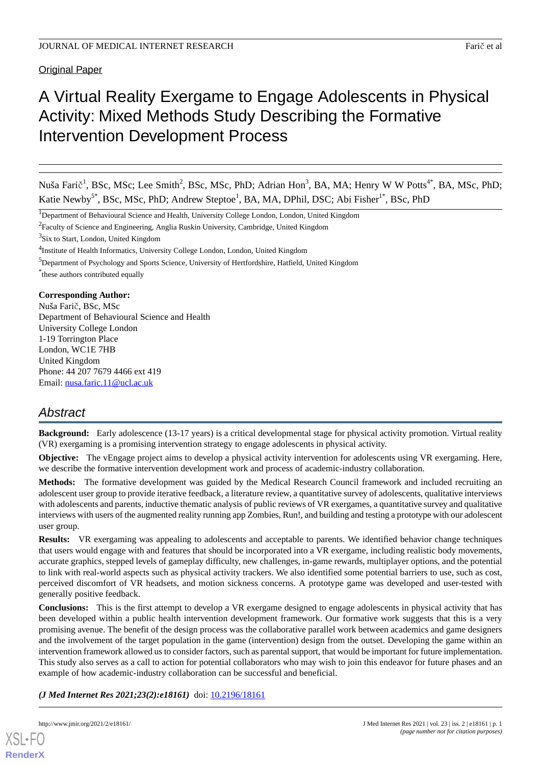Original Paper

# A Virtual Reality Exergame to Engage Adolescents in Physical Activity: Mixed Methods Study Describing the Formative Intervention Development Process

Nuša Farič<sup>1</sup>, BSc, MSc; Lee Smith<sup>2</sup>, BSc, MSc, PhD; Adrian Hon<sup>3</sup>, BA, MA; Henry W W Potts<sup>4\*</sup>, BA, MSc, PhD; Katie Newby<sup>5\*</sup>, BSc, MSc, PhD; Andrew Steptoe<sup>1</sup>, BA, MA, DPhil, DSC; Abi Fisher<sup>1\*</sup>, BSc, PhD

<sup>1</sup>Department of Behavioural Science and Health, University College London, London, United Kingdom

 $^{2}$ Faculty of Science and Engineering, Anglia Ruskin University, Cambridge, United Kingdom

<sup>3</sup>Six to Start, London, United Kingdom

<sup>4</sup>Institute of Health Informatics, University College London, London, United Kingdom

<sup>5</sup>Department of Psychology and Sports Science, University of Hertfordshire, Hatfield, United Kingdom

\* these authors contributed equally

## **Corresponding Author:**

Nuša Farič, BSc, MSc Department of Behavioural Science and Health University College London 1-19 Torrington Place London, WC1E 7HB United Kingdom Phone: 44 207 7679 4466 ext 419 Email: [nusa.faric.11@ucl.ac.uk](mailto:nusa.faric.11@ucl.ac.uk)

## *Abstract*

**Background:** Early adolescence (13-17 years) is a critical developmental stage for physical activity promotion. Virtual reality (VR) exergaming is a promising intervention strategy to engage adolescents in physical activity.

**Objective:** The vEngage project aims to develop a physical activity intervention for adolescents using VR exergaming. Here, we describe the formative intervention development work and process of academic-industry collaboration.

**Methods:** The formative development was guided by the Medical Research Council framework and included recruiting an adolescent user group to provide iterative feedback, a literature review, a quantitative survey of adolescents, qualitative interviews with adolescents and parents, inductive thematic analysis of public reviews of VR exergames, a quantitative survey and qualitative interviews with users of the augmented reality running app Zombies, Run!, and building and testing a prototype with our adolescent user group.

**Results:** VR exergaming was appealing to adolescents and acceptable to parents. We identified behavior change techniques that users would engage with and features that should be incorporated into a VR exergame, including realistic body movements, accurate graphics, stepped levels of gameplay difficulty, new challenges, in-game rewards, multiplayer options, and the potential to link with real-world aspects such as physical activity trackers. We also identified some potential barriers to use, such as cost, perceived discomfort of VR headsets, and motion sickness concerns. A prototype game was developed and user-tested with generally positive feedback.

**Conclusions:** This is the first attempt to develop a VR exergame designed to engage adolescents in physical activity that has been developed within a public health intervention development framework. Our formative work suggests that this is a very promising avenue. The benefit of the design process was the collaborative parallel work between academics and game designers and the involvement of the target population in the game (intervention) design from the outset. Developing the game within an intervention framework allowed us to consider factors, such as parental support, that would be important for future implementation. This study also serves as a call to action for potential collaborators who may wish to join this endeavor for future phases and an example of how academic-industry collaboration can be successful and beneficial.

*(J Med Internet Res 2021;23(2):e18161)* doi: **[10.2196/18161](http://dx.doi.org/10.2196/18161)** 

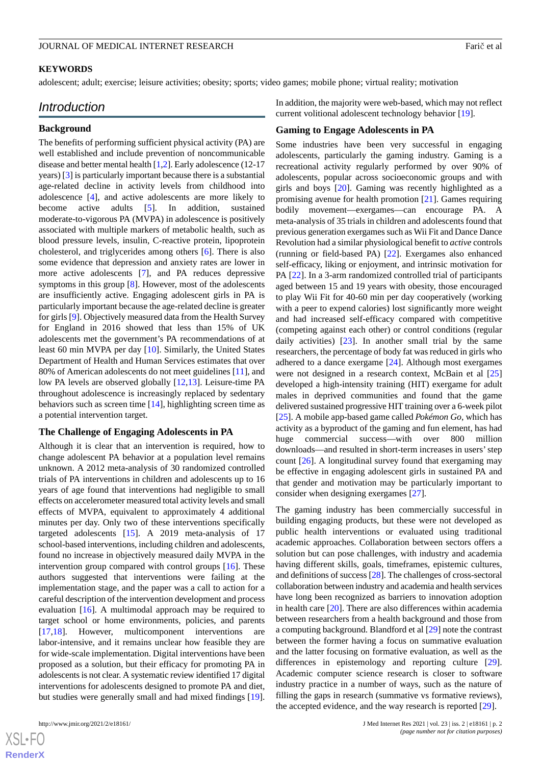#### **KEYWORDS**

adolescent; adult; exercise; leisure activities; obesity; sports; video games; mobile phone; virtual reality; motivation

## *Introduction*

#### **Background**

The benefits of performing sufficient physical activity (PA) are well established and include prevention of noncommunicable disease and better mental health [\[1](#page-10-0)[,2](#page-10-1)]. Early adolescence (12-17 years) [\[3\]](#page-10-2) is particularly important because there is a substantial age-related decline in activity levels from childhood into adolescence [\[4](#page-10-3)], and active adolescents are more likely to become active adults [\[5](#page-10-4)]. In addition, sustained moderate-to-vigorous PA (MVPA) in adolescence is positively associated with multiple markers of metabolic health, such as blood pressure levels, insulin, C-reactive protein, lipoprotein cholesterol, and triglycerides among others [[6\]](#page-10-5). There is also some evidence that depression and anxiety rates are lower in more active adolescents [[7\]](#page-10-6), and PA reduces depressive symptoms in this group [\[8](#page-10-7)]. However, most of the adolescents are insufficiently active. Engaging adolescent girls in PA is particularly important because the age-related decline is greater for girls [\[9](#page-10-8)]. Objectively measured data from the Health Survey for England in 2016 showed that less than 15% of UK adolescents met the government's PA recommendations of at least 60 min MVPA per day [\[10](#page-10-9)]. Similarly, the United States Department of Health and Human Services estimates that over 80% of American adolescents do not meet guidelines [\[11](#page-11-0)], and low PA levels are observed globally [\[12](#page-11-1),[13\]](#page-11-2). Leisure-time PA throughout adolescence is increasingly replaced by sedentary behaviors such as screen time [\[14](#page-11-3)], highlighting screen time as a potential intervention target.

#### **The Challenge of Engaging Adolescents in PA**

Although it is clear that an intervention is required, how to change adolescent PA behavior at a population level remains unknown. A 2012 meta-analysis of 30 randomized controlled trials of PA interventions in children and adolescents up to 16 years of age found that interventions had negligible to small effects on accelerometer measured total activity levels and small effects of MVPA, equivalent to approximately 4 additional minutes per day. Only two of these interventions specifically targeted adolescents [[15\]](#page-11-4). A 2019 meta-analysis of 17 school-based interventions, including children and adolescents, found no increase in objectively measured daily MVPA in the intervention group compared with control groups [[16\]](#page-11-5). These authors suggested that interventions were failing at the implementation stage, and the paper was a call to action for a careful description of the intervention development and process evaluation [[16\]](#page-11-5). A multimodal approach may be required to target school or home environments, policies, and parents [[17](#page-11-6)[,18](#page-11-7)]. However, multicomponent interventions are labor-intensive, and it remains unclear how feasible they are for wide-scale implementation. Digital interventions have been proposed as a solution, but their efficacy for promoting PA in adolescents is not clear. A systematic review identified 17 digital interventions for adolescents designed to promote PA and diet, but studies were generally small and had mixed findings [[19\]](#page-11-8).

 $XS$  $\cdot$ FC **[RenderX](http://www.renderx.com/)** In addition, the majority were web-based, which may not reflect current volitional adolescent technology behavior [\[19](#page-11-8)].

#### **Gaming to Engage Adolescents in PA**

Some industries have been very successful in engaging adolescents, particularly the gaming industry. Gaming is a recreational activity regularly performed by over 90% of adolescents, popular across socioeconomic groups and with girls and boys [[20\]](#page-11-9). Gaming was recently highlighted as a promising avenue for health promotion [[21\]](#page-11-10). Games requiring bodily movement—exergames—can encourage PA. A meta-analysis of 35 trials in children and adolescents found that previous generation exergames such as Wii Fit and Dance Dance Revolution had a similar physiological benefit to *active* controls (running or field-based PA) [\[22](#page-11-11)]. Exergames also enhanced self-efficacy, liking or enjoyment, and intrinsic motivation for PA [\[22](#page-11-11)]. In a 3-arm randomized controlled trial of participants aged between 15 and 19 years with obesity, those encouraged to play Wii Fit for 40-60 min per day cooperatively (working with a peer to expend calories) lost significantly more weight and had increased self-efficacy compared with competitive (competing against each other) or control conditions (regular daily activities) [[23\]](#page-11-12). In another small trial by the same researchers, the percentage of body fat was reduced in girls who adhered to a dance exergame [\[24](#page-11-13)]. Although most exergames were not designed in a research context, McBain et al [\[25](#page-11-14)] developed a high-intensity training (HIT) exergame for adult males in deprived communities and found that the game delivered sustained progressive HIT training over a 6-week pilot [[25\]](#page-11-14). A mobile app-based game called *Pokémon Go*, which has activity as a byproduct of the gaming and fun element, has had huge commercial success—with over 800 million downloads—and resulted in short-term increases in users'step count [\[26](#page-11-15)]. A longitudinal survey found that exergaming may be effective in engaging adolescent girls in sustained PA and that gender and motivation may be particularly important to consider when designing exergames [[27\]](#page-11-16).

The gaming industry has been commercially successful in building engaging products, but these were not developed as public health interventions or evaluated using traditional academic approaches. Collaboration between sectors offers a solution but can pose challenges, with industry and academia having different skills, goals, timeframes, epistemic cultures, and definitions of success [\[28](#page-11-17)]. The challenges of cross-sectoral collaboration between industry and academia and health services have long been recognized as barriers to innovation adoption in health care [\[20](#page-11-9)]. There are also differences within academia between researchers from a health background and those from a computing background. Blandford et al [[29\]](#page-11-18) note the contrast between the former having a focus on summative evaluation and the latter focusing on formative evaluation, as well as the differences in epistemology and reporting culture [[29\]](#page-11-18). Academic computer science research is closer to software industry practice in a number of ways, such as the nature of filling the gaps in research (summative vs formative reviews), the accepted evidence, and the way research is reported [[29\]](#page-11-18).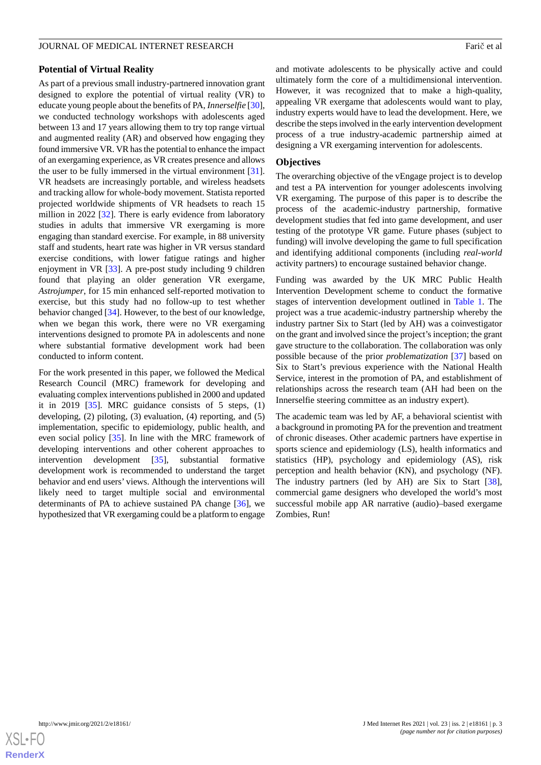#### **Potential of Virtual Reality**

As part of a previous small industry-partnered innovation grant designed to explore the potential of virtual reality (VR) to educate young people about the benefits of PA, *Innerselfie* [[30\]](#page-11-19), we conducted technology workshops with adolescents aged between 13 and 17 years allowing them to try top range virtual and augmented reality (AR) and observed how engaging they found immersive VR. VR has the potential to enhance the impact of an exergaming experience, as VR creates presence and allows the user to be fully immersed in the virtual environment [[31\]](#page-11-20). VR headsets are increasingly portable, and wireless headsets and tracking allow for whole-body movement. Statista reported projected worldwide shipments of VR headsets to reach 15 million in 2022 [[32\]](#page-12-0). There is early evidence from laboratory studies in adults that immersive VR exergaming is more engaging than standard exercise. For example, in 88 university staff and students, heart rate was higher in VR versus standard exercise conditions, with lower fatigue ratings and higher enjoyment in VR [\[33](#page-12-1)]. A pre-post study including 9 children found that playing an older generation VR exergame, *Astrojumper*, for 15 min enhanced self-reported motivation to exercise, but this study had no follow-up to test whether behavior changed [\[34](#page-12-2)]. However, to the best of our knowledge, when we began this work, there were no VR exergaming interventions designed to promote PA in adolescents and none where substantial formative development work had been conducted to inform content.

For the work presented in this paper, we followed the Medical Research Council (MRC) framework for developing and evaluating complex interventions published in 2000 and updated it in 2019  $[35]$  $[35]$ . MRC guidance consists of 5 steps.  $(1)$ developing, (2) piloting, (3) evaluation, (4) reporting, and (5) implementation, specific to epidemiology, public health, and even social policy [\[35](#page-12-3)]. In line with the MRC framework of developing interventions and other coherent approaches to intervention development [[35\]](#page-12-3), substantial formative development work is recommended to understand the target behavior and end users' views. Although the interventions will likely need to target multiple social and environmental determinants of PA to achieve sustained PA change [[36\]](#page-12-4), we hypothesized that VR exergaming could be a platform to engage

and motivate adolescents to be physically active and could ultimately form the core of a multidimensional intervention. However, it was recognized that to make a high-quality, appealing VR exergame that adolescents would want to play, industry experts would have to lead the development. Here, we describe the steps involved in the early intervention development process of a true industry-academic partnership aimed at designing a VR exergaming intervention for adolescents.

#### **Objectives**

The overarching objective of the vEngage project is to develop and test a PA intervention for younger adolescents involving VR exergaming. The purpose of this paper is to describe the process of the academic-industry partnership, formative development studies that fed into game development, and user testing of the prototype VR game. Future phases (subject to funding) will involve developing the game to full specification and identifying additional components (including *real-world* activity partners) to encourage sustained behavior change.

Funding was awarded by the UK MRC Public Health Intervention Development scheme to conduct the formative stages of intervention development outlined in [Table 1.](#page-3-0) The project was a true academic-industry partnership whereby the industry partner Six to Start (led by AH) was a coinvestigator on the grant and involved since the project's inception; the grant gave structure to the collaboration. The collaboration was only possible because of the prior *problematization* [[37\]](#page-12-5) based on Six to Start's previous experience with the National Health Service, interest in the promotion of PA, and establishment of relationships across the research team (AH had been on the Innerselfie steering committee as an industry expert).

The academic team was led by AF, a behavioral scientist with a background in promoting PA for the prevention and treatment of chronic diseases. Other academic partners have expertise in sports science and epidemiology (LS), health informatics and statistics (HP), psychology and epidemiology (AS), risk perception and health behavior (KN), and psychology (NF). The industry partners (led by AH) are Six to Start [[38\]](#page-12-6), commercial game designers who developed the world's most successful mobile app AR narrative (audio)–based exergame Zombies, Run!

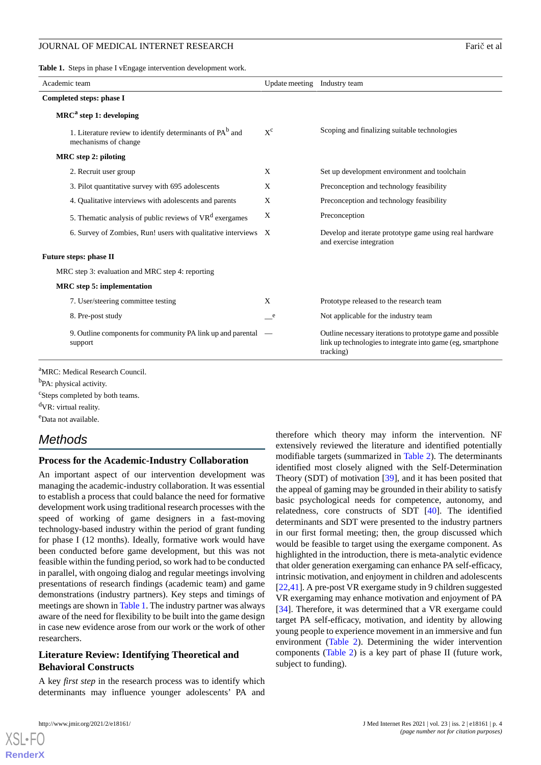<span id="page-3-0"></span>**Table 1.** Steps in phase I vEngage intervention development work.

| Academic team                                                                                | Update meeting Industry team |                                                                                                                                         |  |
|----------------------------------------------------------------------------------------------|------------------------------|-----------------------------------------------------------------------------------------------------------------------------------------|--|
| Completed steps: phase I                                                                     |                              |                                                                                                                                         |  |
| $MRCa$ step 1: developing                                                                    |                              |                                                                                                                                         |  |
| 1. Literature review to identify determinants of PA <sup>b</sup> and<br>mechanisms of change | $X^c$                        | Scoping and finalizing suitable technologies                                                                                            |  |
| MRC step 2: piloting                                                                         |                              |                                                                                                                                         |  |
| 2. Recruit user group                                                                        | X                            | Set up development environment and toolchain                                                                                            |  |
| 3. Pilot quantitative survey with 695 adolescents                                            | X                            | Preconception and technology feasibility                                                                                                |  |
| 4. Qualitative interviews with adolescents and parents                                       | X                            | Preconception and technology feasibility                                                                                                |  |
| 5. The matic analysis of public reviews of $VRd$ exergames                                   | X                            | Preconception                                                                                                                           |  |
| 6. Survey of Zombies, Run! users with qualitative interviews X                               |                              | Develop and iterate prototype game using real hardware<br>and exercise integration                                                      |  |
| <b>Future steps: phase II</b>                                                                |                              |                                                                                                                                         |  |
| MRC step 3: evaluation and MRC step 4: reporting                                             |                              |                                                                                                                                         |  |
| <b>MRC</b> step 5: implementation                                                            |                              |                                                                                                                                         |  |
| 7. User/steering committee testing                                                           | X                            | Prototype released to the research team                                                                                                 |  |
| 8. Pre-post study                                                                            | e                            | Not applicable for the industry team                                                                                                    |  |
| 9. Outline components for community PA link up and parental<br>support                       |                              | Outline necessary iterations to prototype game and possible<br>link up technologies to integrate into game (eg, smartphone<br>tracking) |  |
|                                                                                              |                              |                                                                                                                                         |  |

<sup>a</sup>MRC: Medical Research Council.

<sup>b</sup>PA: physical activity.

<sup>c</sup>Steps completed by both teams. <sup>d</sup>VR: virtual reality.

<sup>e</sup>Data not available.

## *Methods*

#### **Process for the Academic-Industry Collaboration**

An important aspect of our intervention development was managing the academic-industry collaboration. It was essential to establish a process that could balance the need for formative development work using traditional research processes with the speed of working of game designers in a fast-moving technology-based industry within the period of grant funding for phase I (12 months). Ideally, formative work would have been conducted before game development, but this was not feasible within the funding period, so work had to be conducted in parallel, with ongoing dialog and regular meetings involving presentations of research findings (academic team) and game demonstrations (industry partners). Key steps and timings of meetings are shown in [Table 1](#page-3-0). The industry partner was always aware of the need for flexibility to be built into the game design in case new evidence arose from our work or the work of other researchers.

## **Literature Review: Identifying Theoretical and Behavioral Constructs**

A key *first step* in the research process was to identify which determinants may influence younger adolescents' PA and

extensively reviewed the literature and identified potentially modifiable targets (summarized in [Table 2](#page-4-0)). The determinants identified most closely aligned with the Self-Determination Theory (SDT) of motivation [[39\]](#page-12-7), and it has been posited that the appeal of gaming may be grounded in their ability to satisfy basic psychological needs for competence, autonomy, and relatedness, core constructs of SDT [[40\]](#page-12-8). The identified determinants and SDT were presented to the industry partners in our first formal meeting; then, the group discussed which would be feasible to target using the exergame component. As highlighted in the introduction, there is meta-analytic evidence that older generation exergaming can enhance PA self-efficacy, intrinsic motivation, and enjoyment in children and adolescents [[22,](#page-11-11)[41\]](#page-12-9). A pre-post VR exergame study in 9 children suggested VR exergaming may enhance motivation and enjoyment of PA [[34\]](#page-12-2). Therefore, it was determined that a VR exergame could target PA self-efficacy, motivation, and identity by allowing young people to experience movement in an immersive and fun environment ([Table 2\)](#page-4-0). Determining the wider intervention components ([Table 2](#page-4-0)) is a key part of phase II (future work, subject to funding).

therefore which theory may inform the intervention. NF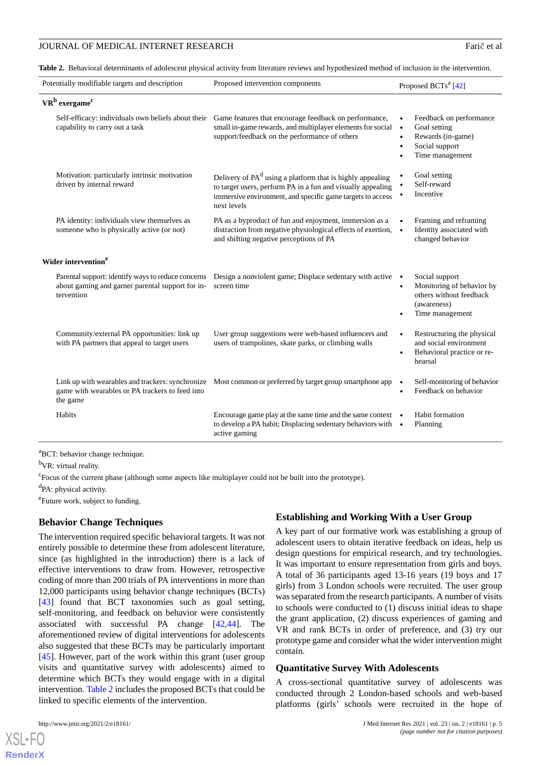<span id="page-4-0"></span>Table 2. Behavioral determinants of adolescent physical activity from literature reviews and hypothesized method of inclusion in the intervention.

| Potentially modifiable targets and description<br>Proposed intervention components                                   |                                                                                                                                                                                                                   | Proposed BCTs <sup>a</sup> [42]                  |                                                                                                          |
|----------------------------------------------------------------------------------------------------------------------|-------------------------------------------------------------------------------------------------------------------------------------------------------------------------------------------------------------------|--------------------------------------------------|----------------------------------------------------------------------------------------------------------|
| VR <sup>b</sup> exergame <sup>c</sup>                                                                                |                                                                                                                                                                                                                   |                                                  |                                                                                                          |
| Self-efficacy: individuals own beliefs about their<br>capability to carry out a task                                 | Game features that encourage feedback on performance,<br>small in-game rewards, and multiplayer elements for social<br>support/feedback on the performance of others                                              | $\bullet$<br>$\bullet$<br>$\bullet$<br>$\bullet$ | Feedback on performance<br>Goal setting<br>Rewards (in-game)<br>Social support<br>Time management        |
| Motivation: particularly intrinsic motivation<br>driven by internal reward                                           | Delivery of PA <sup>d</sup> using a platform that is highly appealing<br>to target users, perform PA in a fun and visually appealing<br>immersive environment, and specific game targets to access<br>next levels | $\bullet$                                        | Goal setting<br>Self-reward<br>Incentive                                                                 |
| PA identity: individuals view themselves as<br>someone who is physically active (or not)                             | PA as a byproduct of fun and enjoyment, immersion as a<br>distraction from negative physiological effects of exertion,<br>and shifting negative perceptions of PA                                                 | $\bullet$                                        | Framing and reframing<br>Identity associated with<br>changed behavior                                    |
| Wider intervention <sup>e</sup>                                                                                      |                                                                                                                                                                                                                   |                                                  |                                                                                                          |
| Parental support: identify ways to reduce concerns<br>about gaming and garner parental support for in-<br>tervention | Design a nonviolent game; Displace sedentary with active $\bullet$<br>screen time                                                                                                                                 | $\bullet$<br>٠                                   | Social support<br>Monitoring of behavior by<br>others without feedback<br>(awareness)<br>Time management |
| Community/external PA opportunities: link up<br>with PA partners that appeal to target users                         | User group suggestions were web-based influencers and<br>users of trampolines, skate parks, or climbing walls                                                                                                     | $\bullet$                                        | Restructuring the physical<br>and social environment<br>Behavioral practice or re-<br>hearsal            |
| Link up with wearables and trackers: synchronize<br>game with wearables or PA trackers to feed into<br>the game      | Most common or preferred by target group smartphone app                                                                                                                                                           | $\bullet$<br>$\bullet$                           | Self-monitoring of behavior<br>Feedback on behavior                                                      |
| Habits                                                                                                               | Encourage game play at the same time and the same context •<br>to develop a PA habit; Displacing sedentary behaviors with<br>active gaming                                                                        |                                                  | Habit formation<br>Planning                                                                              |

<sup>a</sup>BCT: behavior change technique.

<sup>b</sup>VR: virtual reality.

<sup>c</sup>Focus of the current phase (although some aspects like multiplayer could not be built into the prototype).

<sup>d</sup>PA: physical activity.

<sup>e</sup>Future work, subject to funding.

#### **Behavior Change Techniques**

The intervention required specific behavioral targets. It was not entirely possible to determine these from adolescent literature, since (as highlighted in the introduction) there is a lack of effective interventions to draw from. However, retrospective coding of more than 200 trials of PA interventions in more than 12,000 participants using behavior change techniques (BCTs) [[43\]](#page-12-11) found that BCT taxonomies such as goal setting, self-monitoring, and feedback on behavior were consistently associated with successful PA change [[42,](#page-12-10)[44\]](#page-12-12). The aforementioned review of digital interventions for adolescents also suggested that these BCTs may be particularly important [[45\]](#page-12-13). However, part of the work within this grant (user group visits and quantitative survey with adolescents) aimed to determine which BCTs they would engage with in a digital intervention. [Table 2](#page-4-0) includes the proposed BCTs that could be linked to specific elements of the intervention.

[XSL](http://www.w3.org/Style/XSL)•FO **[RenderX](http://www.renderx.com/)**

#### **Establishing and Working With a User Group**

A key part of our formative work was establishing a group of adolescent users to obtain iterative feedback on ideas, help us design questions for empirical research, and try technologies. It was important to ensure representation from girls and boys. A total of 36 participants aged 13-16 years (19 boys and 17 girls) from 3 London schools were recruited. The user group was separated from the research participants. A number of visits to schools were conducted to (1) discuss initial ideas to shape the grant application, (2) discuss experiences of gaming and VR and rank BCTs in order of preference, and (3) try our prototype game and consider what the wider intervention might contain.

#### **Quantitative Survey With Adolescents**

A cross-sectional quantitative survey of adolescents was conducted through 2 London-based schools and web-based platforms (girls' schools were recruited in the hope of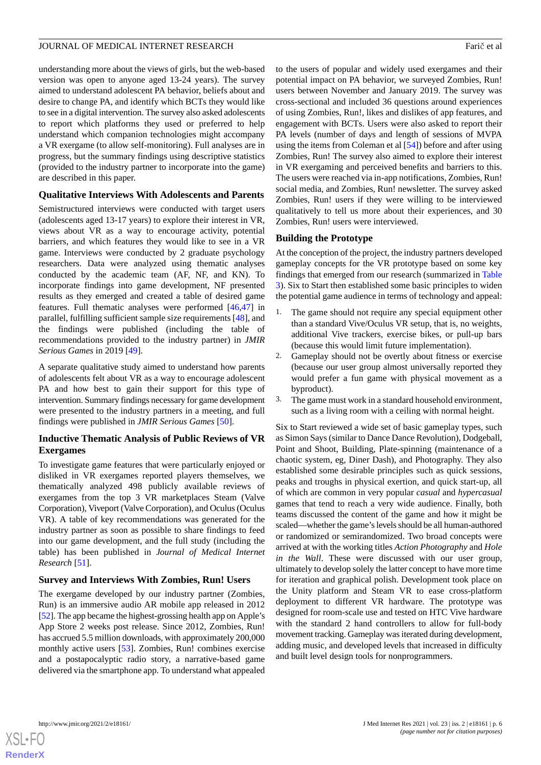understanding more about the views of girls, but the web-based version was open to anyone aged 13-24 years). The survey aimed to understand adolescent PA behavior, beliefs about and desire to change PA, and identify which BCTs they would like to see in a digital intervention. The survey also asked adolescents to report which platforms they used or preferred to help understand which companion technologies might accompany a VR exergame (to allow self-monitoring). Full analyses are in progress, but the summary findings using descriptive statistics (provided to the industry partner to incorporate into the game) are described in this paper.

## **Qualitative Interviews With Adolescents and Parents**

Semistructured interviews were conducted with target users (adolescents aged 13-17 years) to explore their interest in VR, views about VR as a way to encourage activity, potential barriers, and which features they would like to see in a VR game. Interviews were conducted by 2 graduate psychology researchers. Data were analyzed using thematic analyses conducted by the academic team (AF, NF, and KN). To incorporate findings into game development, NF presented results as they emerged and created a table of desired game features. Full thematic analyses were performed [\[46](#page-12-14),[47\]](#page-12-15) in parallel, fulfilling sufficient sample size requirements [\[48](#page-12-16)], and the findings were published (including the table of recommendations provided to the industry partner) in *JMIR Serious Games* in 2019 [\[49](#page-12-17)].

A separate qualitative study aimed to understand how parents of adolescents felt about VR as a way to encourage adolescent PA and how best to gain their support for this type of intervention. Summary findings necessary for game development were presented to the industry partners in a meeting, and full findings were published in *JMIR Serious Games* [\[50](#page-12-18)].

## **Inductive Thematic Analysis of Public Reviews of VR Exergames**

To investigate game features that were particularly enjoyed or disliked in VR exergames reported players themselves, we thematically analyzed 498 publicly available reviews of exergames from the top 3 VR marketplaces Steam (Valve Corporation), Viveport (Valve Corporation), and Oculus (Oculus VR). A table of key recommendations was generated for the industry partner as soon as possible to share findings to feed into our game development, and the full study (including the table) has been published in *Journal of Medical Internet Research* [\[51](#page-12-19)].

## **Survey and Interviews With Zombies, Run! Users**

The exergame developed by our industry partner (Zombies, Run) is an immersive audio AR mobile app released in 2012 [[52\]](#page-12-20). The app became the highest-grossing health app on Apple's App Store 2 weeks post release. Since 2012, Zombies, Run! has accrued 5.5 million downloads, with approximately 200,000 monthly active users [[53\]](#page-12-21). Zombies, Run! combines exercise and a postapocalyptic radio story, a narrative-based game delivered via the smartphone app. To understand what appealed

to the users of popular and widely used exergames and their potential impact on PA behavior, we surveyed Zombies, Run! users between November and January 2019. The survey was cross-sectional and included 36 questions around experiences of using Zombies, Run!, likes and dislikes of app features, and engagement with BCTs. Users were also asked to report their PA levels (number of days and length of sessions of MVPA using the items from Coleman et al [[54\]](#page-12-22)) before and after using Zombies, Run! The survey also aimed to explore their interest in VR exergaming and perceived benefits and barriers to this. The users were reached via in-app notifications, Zombies, Run! social media, and Zombies, Run! newsletter. The survey asked Zombies, Run! users if they were willing to be interviewed qualitatively to tell us more about their experiences, and 30 Zombies, Run! users were interviewed.

## **Building the Prototype**

At the conception of the project, the industry partners developed gameplay concepts for the VR prototype based on some key findings that emerged from our research (summarized in [Table](#page-6-0) [3\)](#page-6-0). Six to Start then established some basic principles to widen the potential game audience in terms of technology and appeal:

- 1. The game should not require any special equipment other than a standard Vive/Oculus VR setup, that is, no weights, additional Vive trackers, exercise bikes, or pull-up bars (because this would limit future implementation).
- 2. Gameplay should not be overtly about fitness or exercise (because our user group almost universally reported they would prefer a fun game with physical movement as a byproduct).
- 3. The game must work in a standard household environment, such as a living room with a ceiling with normal height.

Six to Start reviewed a wide set of basic gameplay types, such as Simon Says (similar to Dance Dance Revolution), Dodgeball, Point and Shoot, Building, Plate-spinning (maintenance of a chaotic system, eg, Diner Dash), and Photography. They also established some desirable principles such as quick sessions, peaks and troughs in physical exertion, and quick start-up, all of which are common in very popular *casual* and *hypercasual* games that tend to reach a very wide audience. Finally, both teams discussed the content of the game and how it might be scaled—whether the game's levels should be all human-authored or randomized or semirandomized. Two broad concepts were arrived at with the working titles *Action Photography* and *Hole in the Wall*. These were discussed with our user group, ultimately to develop solely the latter concept to have more time for iteration and graphical polish. Development took place on the Unity platform and Steam VR to ease cross-platform deployment to different VR hardware. The prototype was designed for room-scale use and tested on HTC Vive hardware with the standard 2 hand controllers to allow for full-body movement tracking. Gameplay was iterated during development, adding music, and developed levels that increased in difficulty and built level design tools for nonprogrammers.

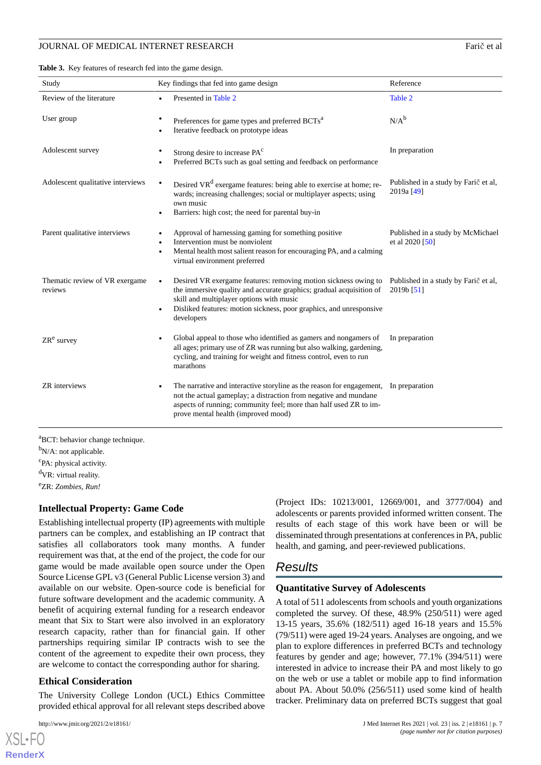<span id="page-6-0"></span>**Table 3.** Key features of research fed into the game design.

| Study                                     | Key findings that fed into game design                                                                                                                                                                                                                                                            | Reference                                            |
|-------------------------------------------|---------------------------------------------------------------------------------------------------------------------------------------------------------------------------------------------------------------------------------------------------------------------------------------------------|------------------------------------------------------|
| Review of the literature                  | Presented in Table 2                                                                                                                                                                                                                                                                              | Table 2                                              |
| User group                                | Preferences for game types and preferred BCTs <sup>a</sup><br>٠<br>Iterative feedback on prototype ideas                                                                                                                                                                                          | $N/A^b$                                              |
| Adolescent survey                         | Strong desire to increase PA <sup>c</sup><br>Preferred BCTs such as goal setting and feedback on performance<br>$\bullet$                                                                                                                                                                         | In preparation                                       |
| Adolescent qualitative interviews         | Desired VR <sup>d</sup> exergame features: being able to exercise at home; re-<br>$\bullet$<br>wards; increasing challenges; social or multiplayer aspects; using<br>own music<br>Barriers: high cost; the need for parental buy-in                                                               | Published in a study by Faric et al,<br>2019a [49]   |
| Parent qualitative interviews             | Approval of harnessing gaming for something positive<br>Intervention must be nonviolent<br>$\bullet$<br>Mental health most salient reason for encouraging PA, and a calming<br>$\bullet$<br>virtual environment preferred                                                                         | Published in a study by McMichael<br>et al 2020 [50] |
| Thematic review of VR exergame<br>reviews | Desired VR exergame features: removing motion sickness owing to<br>$\bullet$<br>the immersive quality and accurate graphics; gradual acquisition of<br>skill and multiplayer options with music<br>Disliked features: motion sickness, poor graphics, and unresponsive<br>$\bullet$<br>developers | Published in a study by Farič et al,<br>2019b [51]   |
| $ZRe$ survey                              | Global appeal to those who identified as gamers and nongamers of<br>$\bullet$<br>all ages; primary use of ZR was running but also walking, gardening,<br>cycling, and training for weight and fitness control, even to run<br>marathons                                                           | In preparation                                       |
| <b>ZR</b> interviews                      | The narrative and interactive storyline as the reason for engagement, In preparation<br>$\bullet$<br>not the actual gameplay; a distraction from negative and mundane<br>aspects of running; community feel; more than half used ZR to im-<br>prove mental health (improved mood)                 |                                                      |

<sup>a</sup>BCT: behavior change technique.

 $bN/A$ : not applicable. <sup>c</sup>PA: physical activity.

<sup>d</sup>VR: virtual reality.

<sup>e</sup>ZR: *Zombies, Run!*

#### **Intellectual Property: Game Code**

Establishing intellectual property (IP) agreements with multiple partners can be complex, and establishing an IP contract that satisfies all collaborators took many months. A funder requirement was that, at the end of the project, the code for our game would be made available open source under the Open Source License GPL v3 (General Public License version 3) and available on our website. Open-source code is beneficial for future software development and the academic community. A benefit of acquiring external funding for a research endeavor meant that Six to Start were also involved in an exploratory research capacity, rather than for financial gain. If other partnerships requiring similar IP contracts wish to see the content of the agreement to expedite their own process, they are welcome to contact the corresponding author for sharing.

## **Ethical Consideration**

The University College London (UCL) Ethics Committee provided ethical approval for all relevant steps described above

[XSL](http://www.w3.org/Style/XSL)•FO **[RenderX](http://www.renderx.com/)** (Project IDs: 10213/001, 12669/001, and 3777/004) and adolescents or parents provided informed written consent. The results of each stage of this work have been or will be disseminated through presentations at conferences in PA, public health, and gaming, and peer-reviewed publications.

## *Results*

#### **Quantitative Survey of Adolescents**

A total of 511 adolescents from schools and youth organizations completed the survey. Of these, 48.9% (250/511) were aged 13-15 years, 35.6% (182/511) aged 16-18 years and 15.5% (79/511) were aged 19-24 years. Analyses are ongoing, and we plan to explore differences in preferred BCTs and technology features by gender and age; however, 77.1% (394/511) were interested in advice to increase their PA and most likely to go on the web or use a tablet or mobile app to find information about PA. About 50.0% (256/511) used some kind of health tracker. Preliminary data on preferred BCTs suggest that goal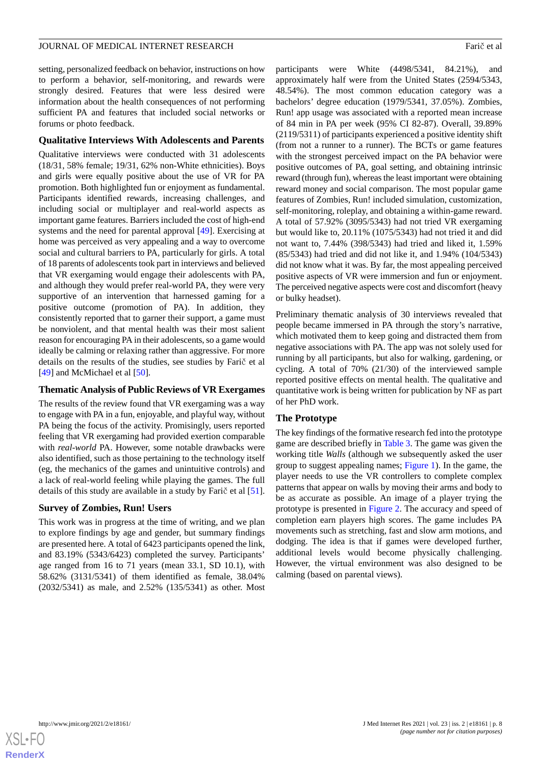setting, personalized feedback on behavior, instructions on how to perform a behavior, self-monitoring, and rewards were strongly desired. Features that were less desired were information about the health consequences of not performing sufficient PA and features that included social networks or forums or photo feedback.

#### **Qualitative Interviews With Adolescents and Parents**

Qualitative interviews were conducted with 31 adolescents (18/31, 58% female; 19/31, 62% non-White ethnicities). Boys and girls were equally positive about the use of VR for PA promotion. Both highlighted fun or enjoyment as fundamental. Participants identified rewards, increasing challenges, and including social or multiplayer and real-world aspects as important game features. Barriers included the cost of high-end systems and the need for parental approval [\[49](#page-12-17)]. Exercising at home was perceived as very appealing and a way to overcome social and cultural barriers to PA, particularly for girls. A total of 18 parents of adolescents took part in interviews and believed that VR exergaming would engage their adolescents with PA, and although they would prefer real-world PA, they were very supportive of an intervention that harnessed gaming for a positive outcome (promotion of PA). In addition, they consistently reported that to garner their support, a game must be nonviolent, and that mental health was their most salient reason for encouraging PA in their adolescents, so a game would ideally be calming or relaxing rather than aggressive. For more details on the results of the studies, see studies by Farič et al [[49\]](#page-12-17) and McMichael et al [[50\]](#page-12-18).

#### **Thematic Analysis of Public Reviews of VR Exergames**

The results of the review found that VR exergaming was a way to engage with PA in a fun, enjoyable, and playful way, without PA being the focus of the activity. Promisingly, users reported feeling that VR exergaming had provided exertion comparable with *real-world* PA. However, some notable drawbacks were also identified, such as those pertaining to the technology itself (eg, the mechanics of the games and unintuitive controls) and a lack of real-world feeling while playing the games. The full details of this study are available in a study by Farič et al [[51\]](#page-12-19).

#### **Survey of Zombies, Run! Users**

This work was in progress at the time of writing, and we plan to explore findings by age and gender, but summary findings are presented here. A total of 6423 participants opened the link, and 83.19% (5343/6423) completed the survey. Participants' age ranged from 16 to 71 years (mean 33.1, SD 10.1), with 58.62% (3131/5341) of them identified as female, 38.04% (2032/5341) as male, and 2.52% (135/5341) as other. Most participants were White (4498/5341, 84.21%), and approximately half were from the United States (2594/5343, 48.54%). The most common education category was a bachelors' degree education (1979/5341, 37.05%). Zombies, Run! app usage was associated with a reported mean increase of 84 min in PA per week (95% CI 82-87). Overall, 39.89% (2119/5311) of participants experienced a positive identity shift (from not a runner to a runner). The BCTs or game features with the strongest perceived impact on the PA behavior were positive outcomes of PA, goal setting, and obtaining intrinsic reward (through fun), whereas the least important were obtaining reward money and social comparison. The most popular game features of Zombies, Run! included simulation, customization, self-monitoring, roleplay, and obtaining a within-game reward. A total of 57.92% (3095/5343) had not tried VR exergaming but would like to, 20.11% (1075/5343) had not tried it and did not want to, 7.44% (398/5343) had tried and liked it, 1.59% (85/5343) had tried and did not like it, and 1.94% (104/5343) did not know what it was. By far, the most appealing perceived positive aspects of VR were immersion and fun or enjoyment. The perceived negative aspects were cost and discomfort (heavy or bulky headset).

Preliminary thematic analysis of 30 interviews revealed that people became immersed in PA through the story's narrative, which motivated them to keep going and distracted them from negative associations with PA. The app was not solely used for running by all participants, but also for walking, gardening, or cycling. A total of 70% (21/30) of the interviewed sample reported positive effects on mental health. The qualitative and quantitative work is being written for publication by NF as part of her PhD work.

## **The Prototype**

The key findings of the formative research fed into the prototype game are described briefly in [Table 3.](#page-6-0) The game was given the working title *Walls* (although we subsequently asked the user group to suggest appealing names; [Figure 1](#page-8-0)). In the game, the player needs to use the VR controllers to complete complex patterns that appear on walls by moving their arms and body to be as accurate as possible. An image of a player trying the prototype is presented in [Figure 2.](#page-8-1) The accuracy and speed of completion earn players high scores. The game includes PA movements such as stretching, fast and slow arm motions, and dodging. The idea is that if games were developed further, additional levels would become physically challenging. However, the virtual environment was also designed to be calming (based on parental views).

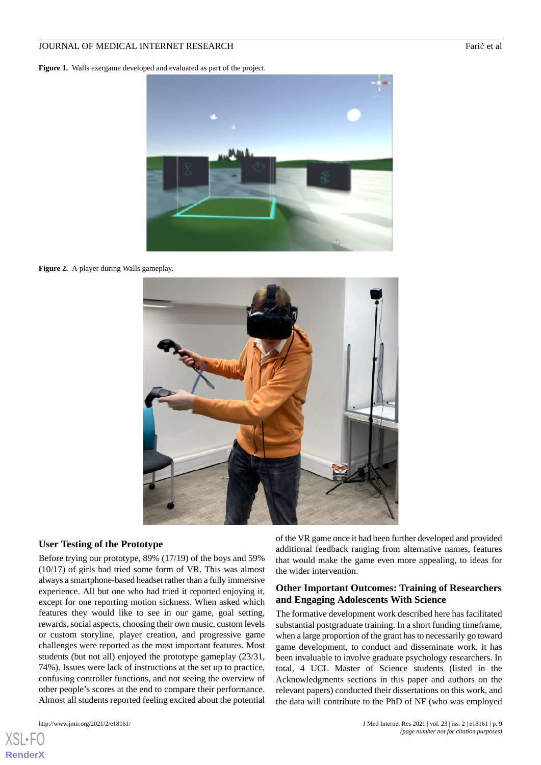<span id="page-8-0"></span>Figure 1. Walls exergame developed and evaluated as part of the project.



**Figure 2.** A player during Walls gameplay.

<span id="page-8-1"></span>

#### **User Testing of the Prototype**

Before trying our prototype, 89% (17/19) of the boys and 59% (10/17) of girls had tried some form of VR. This was almost always a smartphone-based headset rather than a fully immersive experience. All but one who had tried it reported enjoying it, except for one reporting motion sickness. When asked which features they would like to see in our game, goal setting, rewards, social aspects, choosing their own music, custom levels or custom storyline, player creation, and progressive game challenges were reported as the most important features. Most students (but not all) enjoyed the prototype gameplay (23/31, 74%). Issues were lack of instructions at the set up to practice, confusing controller functions, and not seeing the overview of other people's scores at the end to compare their performance. Almost all students reported feeling excited about the potential

[XSL](http://www.w3.org/Style/XSL)•FO **[RenderX](http://www.renderx.com/)**

of the VR game once it had been further developed and provided additional feedback ranging from alternative names, features that would make the game even more appealing, to ideas for the wider intervention.

#### **Other Important Outcomes: Training of Researchers and Engaging Adolescents With Science**

The formative development work described here has facilitated substantial postgraduate training. In a short funding timeframe, when a large proportion of the grant has to necessarily go toward game development, to conduct and disseminate work, it has been invaluable to involve graduate psychology researchers. In total, 4 UCL Master of Science students (listed in the Acknowledgments sections in this paper and authors on the relevant papers) conducted their dissertations on this work, and the data will contribute to the PhD of NF (who was employed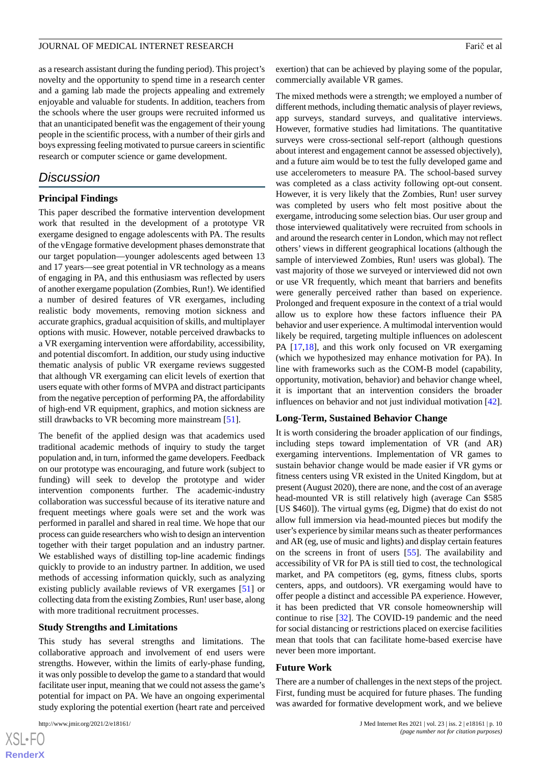as a research assistant during the funding period). This project's novelty and the opportunity to spend time in a research center and a gaming lab made the projects appealing and extremely enjoyable and valuable for students. In addition, teachers from the schools where the user groups were recruited informed us that an unanticipated benefit was the engagement of their young people in the scientific process, with a number of their girls and boys expressing feeling motivated to pursue careers in scientific research or computer science or game development.

## *Discussion*

#### **Principal Findings**

This paper described the formative intervention development work that resulted in the development of a prototype VR exergame designed to engage adolescents with PA. The results of the vEngage formative development phases demonstrate that our target population—younger adolescents aged between 13 and 17 years—see great potential in VR technology as a means of engaging in PA, and this enthusiasm was reflected by users of another exergame population (Zombies, Run!). We identified a number of desired features of VR exergames, including realistic body movements, removing motion sickness and accurate graphics, gradual acquisition of skills, and multiplayer options with music. However, notable perceived drawbacks to a VR exergaming intervention were affordability, accessibility, and potential discomfort. In addition, our study using inductive thematic analysis of public VR exergame reviews suggested that although VR exergaming can elicit levels of exertion that users equate with other forms of MVPA and distract participants from the negative perception of performing PA, the affordability of high-end VR equipment, graphics, and motion sickness are still drawbacks to VR becoming more mainstream [\[51](#page-12-19)].

The benefit of the applied design was that academics used traditional academic methods of inquiry to study the target population and, in turn, informed the game developers. Feedback on our prototype was encouraging, and future work (subject to funding) will seek to develop the prototype and wider intervention components further. The academic-industry collaboration was successful because of its iterative nature and frequent meetings where goals were set and the work was performed in parallel and shared in real time. We hope that our process can guide researchers who wish to design an intervention together with their target population and an industry partner. We established ways of distilling top-line academic findings quickly to provide to an industry partner. In addition, we used methods of accessing information quickly, such as analyzing existing publicly available reviews of VR exergames [\[51](#page-12-19)] or collecting data from the existing Zombies, Run! user base, along with more traditional recruitment processes.

#### **Study Strengths and Limitations**

This study has several strengths and limitations. The collaborative approach and involvement of end users were strengths. However, within the limits of early-phase funding, it was only possible to develop the game to a standard that would facilitate user input, meaning that we could not assess the game's potential for impact on PA. We have an ongoing experimental study exploring the potential exertion (heart rate and perceived

exertion) that can be achieved by playing some of the popular, commercially available VR games.

The mixed methods were a strength; we employed a number of different methods, including thematic analysis of player reviews, app surveys, standard surveys, and qualitative interviews. However, formative studies had limitations. The quantitative surveys were cross-sectional self-report (although questions about interest and engagement cannot be assessed objectively), and a future aim would be to test the fully developed game and use accelerometers to measure PA. The school-based survey was completed as a class activity following opt-out consent. However, it is very likely that the Zombies, Run! user survey was completed by users who felt most positive about the exergame, introducing some selection bias. Our user group and those interviewed qualitatively were recruited from schools in and around the research center in London, which may not reflect others' views in different geographical locations (although the sample of interviewed Zombies, Run! users was global). The vast majority of those we surveyed or interviewed did not own or use VR frequently, which meant that barriers and benefits were generally perceived rather than based on experience. Prolonged and frequent exposure in the context of a trial would allow us to explore how these factors influence their PA behavior and user experience. A multimodal intervention would likely be required, targeting multiple influences on adolescent PA [[17](#page-11-6)[,18](#page-11-7)], and this work only focused on VR exergaming (which we hypothesized may enhance motivation for PA). In line with frameworks such as the COM-B model (capability, opportunity, motivation, behavior) and behavior change wheel, it is important that an intervention considers the broader influences on behavior and not just individual motivation [[42\]](#page-12-10).

#### **Long-Term, Sustained Behavior Change**

It is worth considering the broader application of our findings, including steps toward implementation of VR (and AR) exergaming interventions. Implementation of VR games to sustain behavior change would be made easier if VR gyms or fitness centers using VR existed in the United Kingdom, but at present (August 2020), there are none, and the cost of an average head-mounted VR is still relatively high (average Can \$585 [US \$460]). The virtual gyms (eg, Digme) that do exist do not allow full immersion via head-mounted pieces but modify the user's experience by similar means such as theater performances and AR (eg, use of music and lights) and display certain features on the screens in front of users [\[55](#page-12-23)]. The availability and accessibility of VR for PA is still tied to cost, the technological market, and PA competitors (eg, gyms, fitness clubs, sports centers, apps, and outdoors). VR exergaming would have to offer people a distinct and accessible PA experience. However, it has been predicted that VR console homeownership will continue to rise [\[32](#page-12-0)]. The COVID-19 pandemic and the need for social distancing or restrictions placed on exercise facilities mean that tools that can facilitate home-based exercise have never been more important.

#### **Future Work**

There are a number of challenges in the next steps of the project. First, funding must be acquired for future phases. The funding was awarded for formative development work, and we believe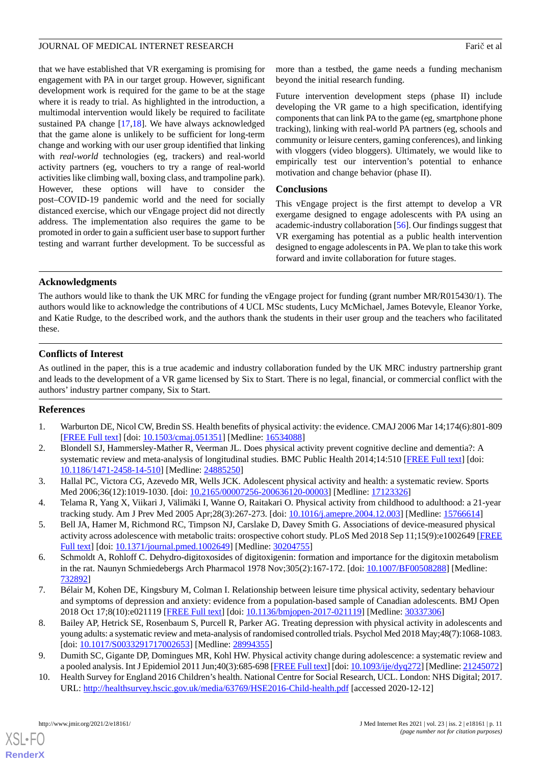that we have established that VR exergaming is promising for engagement with PA in our target group. However, significant development work is required for the game to be at the stage where it is ready to trial. As highlighted in the introduction, a multimodal intervention would likely be required to facilitate sustained PA change [\[17](#page-11-6),[18\]](#page-11-7). We have always acknowledged that the game alone is unlikely to be sufficient for long-term change and working with our user group identified that linking with *real-world* technologies (eg, trackers) and real-world activity partners (eg, vouchers to try a range of real-world activities like climbing wall, boxing class, and trampoline park). However, these options will have to consider the post–COVID-19 pandemic world and the need for socially distanced exercise, which our vEngage project did not directly address. The implementation also requires the game to be promoted in order to gain a sufficient user base to support further testing and warrant further development. To be successful as

more than a testbed, the game needs a funding mechanism beyond the initial research funding.

Future intervention development steps (phase II) include developing the VR game to a high specification, identifying components that can link PA to the game (eg, smartphone phone tracking), linking with real-world PA partners (eg, schools and community or leisure centers, gaming conferences), and linking with vloggers (video bloggers). Ultimately, we would like to empirically test our intervention's potential to enhance motivation and change behavior (phase II).

## **Conclusions**

This vEngage project is the first attempt to develop a VR exergame designed to engage adolescents with PA using an academic-industry collaboration [[56\]](#page-12-24). Our findings suggest that VR exergaming has potential as a public health intervention designed to engage adolescents in PA. We plan to take this work forward and invite collaboration for future stages.

## **Acknowledgments**

The authors would like to thank the UK MRC for funding the vEngage project for funding (grant number MR/R015430/1). The authors would like to acknowledge the contributions of 4 UCL MSc students, Lucy McMichael, James Botevyle, Eleanor Yorke, and Katie Rudge, to the described work, and the authors thank the students in their user group and the teachers who facilitated these.

## **Conflicts of Interest**

<span id="page-10-0"></span>As outlined in the paper, this is a true academic and industry collaboration funded by the UK MRC industry partnership grant and leads to the development of a VR game licensed by Six to Start. There is no legal, financial, or commercial conflict with the authors' industry partner company, Six to Start.

## <span id="page-10-1"></span>**References**

- <span id="page-10-2"></span>1. Warburton DE, Nicol CW, Bredin SS. Health benefits of physical activity: the evidence. CMAJ 2006 Mar 14;174(6):801-809 [[FREE Full text](http://www.cmaj.ca/cgi/pmidlookup?view=long&pmid=16534088)] [doi: [10.1503/cmaj.051351\]](http://dx.doi.org/10.1503/cmaj.051351) [Medline: [16534088](http://www.ncbi.nlm.nih.gov/entrez/query.fcgi?cmd=Retrieve&db=PubMed&list_uids=16534088&dopt=Abstract)]
- <span id="page-10-3"></span>2. Blondell SJ, Hammersley-Mather R, Veerman JL. Does physical activity prevent cognitive decline and dementia?: A systematic review and meta-analysis of longitudinal studies. BMC Public Health 2014;14:510 [[FREE Full text](http://www.biomedcentral.com/1471-2458/14/510)] [doi: [10.1186/1471-2458-14-510\]](http://dx.doi.org/10.1186/1471-2458-14-510) [Medline: [24885250\]](http://www.ncbi.nlm.nih.gov/entrez/query.fcgi?cmd=Retrieve&db=PubMed&list_uids=24885250&dopt=Abstract)
- <span id="page-10-4"></span>3. Hallal PC, Victora CG, Azevedo MR, Wells JCK. Adolescent physical activity and health: a systematic review. Sports Med 2006;36(12):1019-1030. [doi: [10.2165/00007256-200636120-00003](http://dx.doi.org/10.2165/00007256-200636120-00003)] [Medline: [17123326](http://www.ncbi.nlm.nih.gov/entrez/query.fcgi?cmd=Retrieve&db=PubMed&list_uids=17123326&dopt=Abstract)]
- <span id="page-10-5"></span>4. Telama R, Yang X, Viikari J, Välimäki I, Wanne O, Raitakari O. Physical activity from childhood to adulthood: a 21-year tracking study. Am J Prev Med 2005 Apr;28(3):267-273. [doi: [10.1016/j.amepre.2004.12.003\]](http://dx.doi.org/10.1016/j.amepre.2004.12.003) [Medline: [15766614](http://www.ncbi.nlm.nih.gov/entrez/query.fcgi?cmd=Retrieve&db=PubMed&list_uids=15766614&dopt=Abstract)]
- <span id="page-10-6"></span>5. Bell JA, Hamer M, Richmond RC, Timpson NJ, Carslake D, Davey Smith G. Associations of device-measured physical activity across adolescence with metabolic traits: orospective cohort study. PLoS Med 2018 Sep 11;15(9):e1002649 [\[FREE](https://dx.plos.org/10.1371/journal.pmed.1002649) [Full text\]](https://dx.plos.org/10.1371/journal.pmed.1002649) [doi: [10.1371/journal.pmed.1002649](http://dx.doi.org/10.1371/journal.pmed.1002649)] [Medline: [30204755\]](http://www.ncbi.nlm.nih.gov/entrez/query.fcgi?cmd=Retrieve&db=PubMed&list_uids=30204755&dopt=Abstract)
- <span id="page-10-7"></span>6. Schmoldt A, Rohloff C. Dehydro-digitoxosides of digitoxigenin: formation and importance for the digitoxin metabolism in the rat. Naunyn Schmiedebergs Arch Pharmacol 1978 Nov;305(2):167-172. [doi: [10.1007/BF00508288](http://dx.doi.org/10.1007/BF00508288)] [Medline: [732892](http://www.ncbi.nlm.nih.gov/entrez/query.fcgi?cmd=Retrieve&db=PubMed&list_uids=732892&dopt=Abstract)]
- <span id="page-10-8"></span>7. Bélair M, Kohen DE, Kingsbury M, Colman I. Relationship between leisure time physical activity, sedentary behaviour and symptoms of depression and anxiety: evidence from a population-based sample of Canadian adolescents. BMJ Open 2018 Oct 17;8(10):e021119 [\[FREE Full text\]](http://bmjopen.bmj.com/cgi/pmidlookup?view=long&pmid=30337306) [doi: [10.1136/bmjopen-2017-021119](http://dx.doi.org/10.1136/bmjopen-2017-021119)] [Medline: [30337306\]](http://www.ncbi.nlm.nih.gov/entrez/query.fcgi?cmd=Retrieve&db=PubMed&list_uids=30337306&dopt=Abstract)
- <span id="page-10-9"></span>8. Bailey AP, Hetrick SE, Rosenbaum S, Purcell R, Parker AG. Treating depression with physical activity in adolescents and young adults: a systematic review and meta-analysis of randomised controlled trials. Psychol Med 2018 May;48(7):1068-1083. [doi: [10.1017/S0033291717002653\]](http://dx.doi.org/10.1017/S0033291717002653) [Medline: [28994355](http://www.ncbi.nlm.nih.gov/entrez/query.fcgi?cmd=Retrieve&db=PubMed&list_uids=28994355&dopt=Abstract)]
- 9. Dumith SC, Gigante DP, Domingues MR, Kohl HW. Physical activity change during adolescence: a systematic review and a pooled analysis. Int J Epidemiol 2011 Jun;40(3):685-698 [\[FREE Full text](http://ije.oxfordjournals.org/cgi/pmidlookup?view=long&pmid=21245072)] [doi: [10.1093/ije/dyq272\]](http://dx.doi.org/10.1093/ije/dyq272) [Medline: [21245072\]](http://www.ncbi.nlm.nih.gov/entrez/query.fcgi?cmd=Retrieve&db=PubMed&list_uids=21245072&dopt=Abstract)
- 10. Health Survey for England 2016 Children's health. National Centre for Social Research, UCL. London: NHS Digital; 2017. URL: <http://healthsurvey.hscic.gov.uk/media/63769/HSE2016-Child-health.pdf> [accessed 2020-12-12]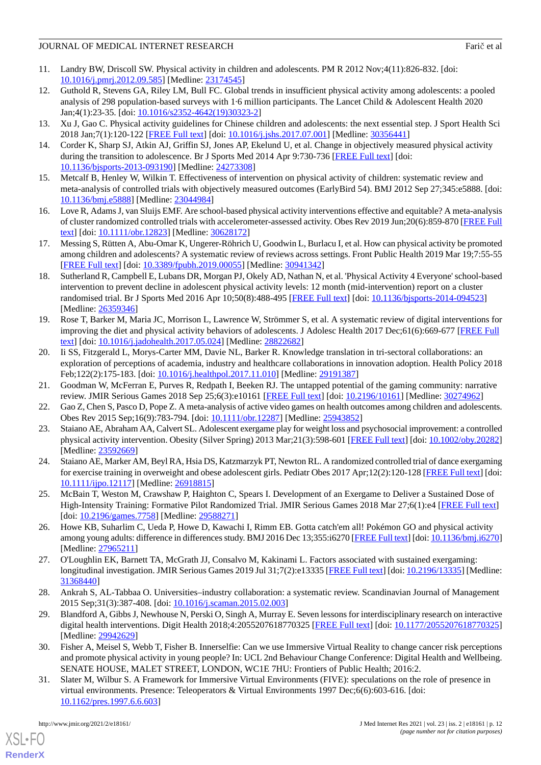- <span id="page-11-0"></span>11. Landry BW, Driscoll SW. Physical activity in children and adolescents. PM R 2012 Nov;4(11):826-832. [doi: [10.1016/j.pmrj.2012.09.585](http://dx.doi.org/10.1016/j.pmrj.2012.09.585)] [Medline: [23174545](http://www.ncbi.nlm.nih.gov/entrez/query.fcgi?cmd=Retrieve&db=PubMed&list_uids=23174545&dopt=Abstract)]
- <span id="page-11-1"></span>12. Guthold R, Stevens GA, Riley LM, Bull FC. Global trends in insufficient physical activity among adolescents: a pooled analysis of 298 population-based surveys with 1·6 million participants. The Lancet Child & Adolescent Health 2020 Jan;4(1):23-35. [doi: [10.1016/s2352-4642\(19\)30323-2](http://dx.doi.org/10.1016/s2352-4642(19)30323-2)]
- <span id="page-11-3"></span><span id="page-11-2"></span>13. Xu J, Gao C. Physical activity guidelines for Chinese children and adolescents: the next essential step. J Sport Health Sci 2018 Jan;7(1):120-122 [[FREE Full text](https://linkinghub.elsevier.com/retrieve/pii/S2095-2546(17)30094-7)] [doi: [10.1016/j.jshs.2017.07.001\]](http://dx.doi.org/10.1016/j.jshs.2017.07.001) [Medline: [30356441\]](http://www.ncbi.nlm.nih.gov/entrez/query.fcgi?cmd=Retrieve&db=PubMed&list_uids=30356441&dopt=Abstract)
- <span id="page-11-4"></span>14. Corder K, Sharp SJ, Atkin AJ, Griffin SJ, Jones AP, Ekelund U, et al. Change in objectively measured physical activity during the transition to adolescence. Br J Sports Med 2014 Apr 9:730-736 [[FREE Full text](http://bjsm.bmj.com/cgi/pmidlookup?view=long&pmid=24273308)] [doi: [10.1136/bjsports-2013-093190](http://dx.doi.org/10.1136/bjsports-2013-093190)] [Medline: [24273308\]](http://www.ncbi.nlm.nih.gov/entrez/query.fcgi?cmd=Retrieve&db=PubMed&list_uids=24273308&dopt=Abstract)
- <span id="page-11-5"></span>15. Metcalf B, Henley W, Wilkin T. Effectiveness of intervention on physical activity of children: systematic review and meta-analysis of controlled trials with objectively measured outcomes (EarlyBird 54). BMJ 2012 Sep 27;345:e5888. [doi: [10.1136/bmj.e5888](http://dx.doi.org/10.1136/bmj.e5888)] [Medline: [23044984](http://www.ncbi.nlm.nih.gov/entrez/query.fcgi?cmd=Retrieve&db=PubMed&list_uids=23044984&dopt=Abstract)]
- <span id="page-11-6"></span>16. Love R, Adams J, van Sluijs EMF. Are school-based physical activity interventions effective and equitable? A meta-analysis of cluster randomized controlled trials with accelerometer-assessed activity. Obes Rev 2019 Jun;20(6):859-870 [\[FREE Full](http://europepmc.org/abstract/MED/30628172) [text](http://europepmc.org/abstract/MED/30628172)] [doi: [10.1111/obr.12823](http://dx.doi.org/10.1111/obr.12823)] [Medline: [30628172\]](http://www.ncbi.nlm.nih.gov/entrez/query.fcgi?cmd=Retrieve&db=PubMed&list_uids=30628172&dopt=Abstract)
- <span id="page-11-7"></span>17. Messing S, Rütten A, Abu-Omar K, Ungerer-Röhrich U, Goodwin L, Burlacu I, et al. How can physical activity be promoted among children and adolescents? A systematic review of reviews across settings. Front Public Health 2019 Mar 19;7:55-55 [[FREE Full text](https://doi.org/10.3389/fpubh.2019.00055)] [doi: [10.3389/fpubh.2019.00055](http://dx.doi.org/10.3389/fpubh.2019.00055)] [Medline: [30941342\]](http://www.ncbi.nlm.nih.gov/entrez/query.fcgi?cmd=Retrieve&db=PubMed&list_uids=30941342&dopt=Abstract)
- <span id="page-11-8"></span>18. Sutherland R, Campbell E, Lubans DR, Morgan PJ, Okely AD, Nathan N, et al. 'Physical Activity 4 Everyone' school-based intervention to prevent decline in adolescent physical activity levels: 12 month (mid-intervention) report on a cluster randomised trial. Br J Sports Med 2016 Apr 10;50(8):488-495 [[FREE Full text\]](http://bjsm.bmj.com/lookup/pmidlookup?view=long&pmid=26359346) [doi: 10.1136/bisports-2014-094523] [Medline: [26359346](http://www.ncbi.nlm.nih.gov/entrez/query.fcgi?cmd=Retrieve&db=PubMed&list_uids=26359346&dopt=Abstract)]
- <span id="page-11-9"></span>19. Rose T, Barker M, Maria JC, Morrison L, Lawrence W, Strömmer S, et al. A systematic review of digital interventions for improving the diet and physical activity behaviors of adolescents. J Adolesc Health 2017 Dec;61(6):669-677 [[FREE Full](http://europepmc.org/abstract/MED/28822682) [text](http://europepmc.org/abstract/MED/28822682)] [doi: [10.1016/j.jadohealth.2017.05.024](http://dx.doi.org/10.1016/j.jadohealth.2017.05.024)] [Medline: [28822682](http://www.ncbi.nlm.nih.gov/entrez/query.fcgi?cmd=Retrieve&db=PubMed&list_uids=28822682&dopt=Abstract)]
- <span id="page-11-11"></span><span id="page-11-10"></span>20. Ii SS, Fitzgerald L, Morys-Carter MM, Davie NL, Barker R. Knowledge translation in tri-sectoral collaborations: an exploration of perceptions of academia, industry and healthcare collaborations in innovation adoption. Health Policy 2018 Feb;122(2):175-183. [doi: [10.1016/j.healthpol.2017.11.010\]](http://dx.doi.org/10.1016/j.healthpol.2017.11.010) [Medline: [29191387\]](http://www.ncbi.nlm.nih.gov/entrez/query.fcgi?cmd=Retrieve&db=PubMed&list_uids=29191387&dopt=Abstract)
- <span id="page-11-12"></span>21. Goodman W, McFerran E, Purves R, Redpath I, Beeken RJ. The untapped potential of the gaming community: narrative review. JMIR Serious Games 2018 Sep 25;6(3):e10161 [\[FREE Full text\]](http://games.jmir.org/2018/3/e10161/) [doi: [10.2196/10161](http://dx.doi.org/10.2196/10161)] [Medline: [30274962\]](http://www.ncbi.nlm.nih.gov/entrez/query.fcgi?cmd=Retrieve&db=PubMed&list_uids=30274962&dopt=Abstract)
- <span id="page-11-13"></span>22. Gao Z, Chen S, Pasco D, Pope Z. A meta-analysis of active video games on health outcomes among children and adolescents. Obes Rev 2015 Sep;16(9):783-794. [doi: [10.1111/obr.12287\]](http://dx.doi.org/10.1111/obr.12287) [Medline: [25943852\]](http://www.ncbi.nlm.nih.gov/entrez/query.fcgi?cmd=Retrieve&db=PubMed&list_uids=25943852&dopt=Abstract)
- <span id="page-11-14"></span>23. Staiano AE, Abraham AA, Calvert SL. Adolescent exergame play for weight loss and psychosocial improvement: a controlled physical activity intervention. Obesity (Silver Spring) 2013 Mar;21(3):598-601 [\[FREE Full text\]](https://doi.org/10.1002/oby.20282) [doi: [10.1002/oby.20282](http://dx.doi.org/10.1002/oby.20282)] [Medline: [23592669](http://www.ncbi.nlm.nih.gov/entrez/query.fcgi?cmd=Retrieve&db=PubMed&list_uids=23592669&dopt=Abstract)]
- <span id="page-11-15"></span>24. Staiano AE, Marker AM, Beyl RA, Hsia DS, Katzmarzyk PT, Newton RL. A randomized controlled trial of dance exergaming for exercise training in overweight and obese adolescent girls. Pediatr Obes 2017 Apr;12(2):120-128 [[FREE Full text](http://europepmc.org/abstract/MED/26918815)] [doi: [10.1111/ijpo.12117\]](http://dx.doi.org/10.1111/ijpo.12117) [Medline: [26918815\]](http://www.ncbi.nlm.nih.gov/entrez/query.fcgi?cmd=Retrieve&db=PubMed&list_uids=26918815&dopt=Abstract)
- <span id="page-11-16"></span>25. McBain T, Weston M, Crawshaw P, Haighton C, Spears I. Development of an Exergame to Deliver a Sustained Dose of High-Intensity Training: Formative Pilot Randomized Trial. JMIR Serious Games 2018 Mar 27;6(1):e4 [[FREE Full text\]](https://games.jmir.org/2018/1/e4/) [doi: [10.2196/games.7758](http://dx.doi.org/10.2196/games.7758)] [Medline: [29588271\]](http://www.ncbi.nlm.nih.gov/entrez/query.fcgi?cmd=Retrieve&db=PubMed&list_uids=29588271&dopt=Abstract)
- <span id="page-11-17"></span>26. Howe KB, Suharlim C, Ueda P, Howe D, Kawachi I, Rimm EB. Gotta catch'em all! Pokémon GO and physical activity among young adults: difference in differences study. BMJ 2016 Dec 13;355:i6270 [\[FREE Full text\]](http://www.bmj.com/lookup/pmidlookup?view=long&pmid=27965211) [doi: [10.1136/bmj.i6270\]](http://dx.doi.org/10.1136/bmj.i6270) [Medline: [27965211](http://www.ncbi.nlm.nih.gov/entrez/query.fcgi?cmd=Retrieve&db=PubMed&list_uids=27965211&dopt=Abstract)]
- <span id="page-11-18"></span>27. O'Loughlin EK, Barnett TA, McGrath JJ, Consalvo M, Kakinami L. Factors associated with sustained exergaming: longitudinal investigation. JMIR Serious Games 2019 Jul 31;7(2):e13335 [[FREE Full text](https://games.jmir.org/2019/2/e13335/)] [doi: [10.2196/13335\]](http://dx.doi.org/10.2196/13335) [Medline: [31368440](http://www.ncbi.nlm.nih.gov/entrez/query.fcgi?cmd=Retrieve&db=PubMed&list_uids=31368440&dopt=Abstract)]
- <span id="page-11-19"></span>28. Ankrah S, AL-Tabbaa O. Universities–industry collaboration: a systematic review. Scandinavian Journal of Management 2015 Sep;31(3):387-408. [doi: [10.1016/j.scaman.2015.02.003](http://dx.doi.org/10.1016/j.scaman.2015.02.003)]
- <span id="page-11-20"></span>29. Blandford A, Gibbs J, Newhouse N, Perski O, Singh A, Murray E. Seven lessons for interdisciplinary research on interactive digital health interventions. Digit Health 2018;4:2055207618770325 [[FREE Full text](http://europepmc.org/abstract/MED/29942629)] [doi: [10.1177/2055207618770325](http://dx.doi.org/10.1177/2055207618770325)] [Medline: [29942629](http://www.ncbi.nlm.nih.gov/entrez/query.fcgi?cmd=Retrieve&db=PubMed&list_uids=29942629&dopt=Abstract)]
- 30. Fisher A, Meisel S, Webb T, Fisher B. Innerselfie: Can we use Immersive Virtual Reality to change cancer risk perceptions and promote physical activity in young people? In: UCL 2nd Behaviour Change Conference: Digital Health and Wellbeing. SENATE HOUSE, MALET STREET, LONDON, WC1E 7HU: Frontiers of Public Health; 2016:2.
- 31. Slater M, Wilbur S. A Framework for Immersive Virtual Environments (FIVE): speculations on the role of presence in virtual environments. Presence: Teleoperators & Virtual Environments 1997 Dec;6(6):603-616. [doi: [10.1162/pres.1997.6.6.603\]](http://dx.doi.org/10.1162/pres.1997.6.6.603)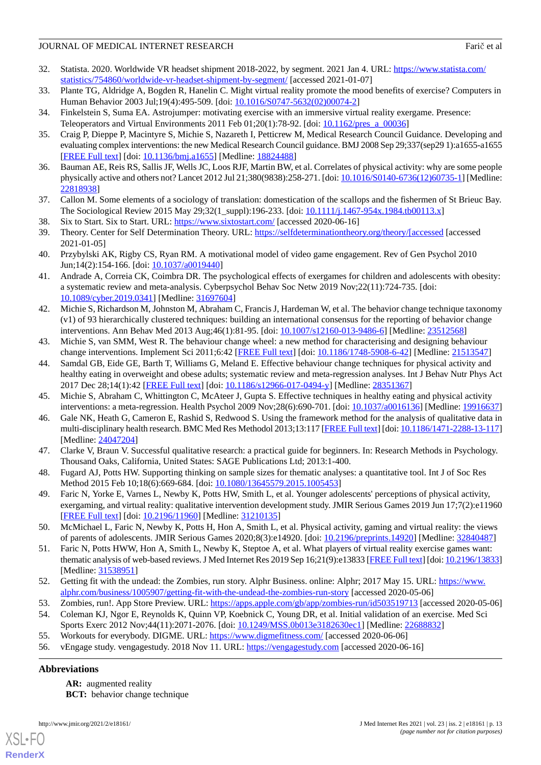- <span id="page-12-0"></span>32. Statista. 2020. Worldwide VR headset shipment 2018-2022, by segment. 2021 Jan 4. URL: [https://www.statista.com/](https://www.statista.com/statistics/754860/worldwide-vr-headset-shipment-by-segment/) [statistics/754860/worldwide-vr-headset-shipment-by-segment/](https://www.statista.com/statistics/754860/worldwide-vr-headset-shipment-by-segment/) [accessed 2021-01-07]
- <span id="page-12-2"></span><span id="page-12-1"></span>33. Plante TG, Aldridge A, Bogden R, Hanelin C. Might virtual reality promote the mood benefits of exercise? Computers in Human Behavior 2003 Jul;19(4):495-509. [doi: [10.1016/S0747-5632\(02\)00074-2\]](http://dx.doi.org/10.1016/S0747-5632(02)00074-2)
- <span id="page-12-3"></span>34. Finkelstein S, Suma EA. Astrojumper: motivating exercise with an immersive virtual reality exergame. Presence: Teleoperators and Virtual Environments 2011 Feb  $01;20(1)$ :78-92. [doi:  $10.1162/pres$  a 00036]
- 35. Craig P, Dieppe P, Macintyre S, Michie S, Nazareth I, Petticrew M, Medical Research Council Guidance. Developing and evaluating complex interventions: the new Medical Research Council guidance. BMJ 2008 Sep 29;337(sep29 1):a1655-a1655 [[FREE Full text](http://europepmc.org/abstract/MED/18824488)] [doi: [10.1136/bmj.a1655](http://dx.doi.org/10.1136/bmj.a1655)] [Medline: [18824488](http://www.ncbi.nlm.nih.gov/entrez/query.fcgi?cmd=Retrieve&db=PubMed&list_uids=18824488&dopt=Abstract)]
- <span id="page-12-5"></span><span id="page-12-4"></span>36. Bauman AE, Reis RS, Sallis JF, Wells JC, Loos RJF, Martin BW, et al. Correlates of physical activity: why are some people physically active and others not? Lancet 2012 Jul 21;380(9838):258-271. [doi: [10.1016/S0140-6736\(12\)60735-1](http://dx.doi.org/10.1016/S0140-6736(12)60735-1)] [Medline: [22818938](http://www.ncbi.nlm.nih.gov/entrez/query.fcgi?cmd=Retrieve&db=PubMed&list_uids=22818938&dopt=Abstract)]
- <span id="page-12-7"></span><span id="page-12-6"></span>37. Callon M. Some elements of a sociology of translation: domestication of the scallops and the fishermen of St Brieuc Bay. The Sociological Review 2015 May 29;32(1\_suppl):196-233. [doi: [10.1111/j.1467-954x.1984.tb00113.x\]](http://dx.doi.org/10.1111/j.1467-954x.1984.tb00113.x)
- 38. Six to Start. Six to Start. URL: <https://www.sixtostart.com/> [accessed 2020-06-16]
- <span id="page-12-8"></span>39. Theory. Center for Self Determination Theory. URL: [https://selfdeterminationtheory.org/theory/\[accessed](https://selfdeterminationtheory.org/theory/[accessed) [accessed 2021-01-05]
- <span id="page-12-9"></span>40. Przybylski AK, Rigby CS, Ryan RM. A motivational model of video game engagement. Rev of Gen Psychol 2010 Jun;14(2):154-166. [doi: [10.1037/a0019440](http://dx.doi.org/10.1037/a0019440)]
- <span id="page-12-10"></span>41. Andrade A, Correia CK, Coimbra DR. The psychological effects of exergames for children and adolescents with obesity: a systematic review and meta-analysis. Cyberpsychol Behav Soc Netw 2019 Nov;22(11):724-735. [doi: [10.1089/cyber.2019.0341](http://dx.doi.org/10.1089/cyber.2019.0341)] [Medline: [31697604](http://www.ncbi.nlm.nih.gov/entrez/query.fcgi?cmd=Retrieve&db=PubMed&list_uids=31697604&dopt=Abstract)]
- <span id="page-12-11"></span>42. Michie S, Richardson M, Johnston M, Abraham C, Francis J, Hardeman W, et al. The behavior change technique taxonomy (v1) of 93 hierarchically clustered techniques: building an international consensus for the reporting of behavior change interventions. Ann Behav Med 2013 Aug;46(1):81-95. [doi: [10.1007/s12160-013-9486-6\]](http://dx.doi.org/10.1007/s12160-013-9486-6) [Medline: [23512568\]](http://www.ncbi.nlm.nih.gov/entrez/query.fcgi?cmd=Retrieve&db=PubMed&list_uids=23512568&dopt=Abstract)
- <span id="page-12-12"></span>43. Michie S, van SMM, West R. The behaviour change wheel: a new method for characterising and designing behaviour change interventions. Implement Sci 2011;6:42 [[FREE Full text](http://www.implementationscience.com/content/6//42)] [doi: [10.1186/1748-5908-6-42\]](http://dx.doi.org/10.1186/1748-5908-6-42) [Medline: [21513547\]](http://www.ncbi.nlm.nih.gov/entrez/query.fcgi?cmd=Retrieve&db=PubMed&list_uids=21513547&dopt=Abstract)
- <span id="page-12-14"></span><span id="page-12-13"></span>44. Samdal GB, Eide GE, Barth T, Williams G, Meland E. Effective behaviour change techniques for physical activity and healthy eating in overweight and obese adults; systematic review and meta-regression analyses. Int J Behav Nutr Phys Act 2017 Dec 28;14(1):42 [[FREE Full text](https://ijbnpa.biomedcentral.com/articles/10.1186/s12966-017-0494-y)] [doi: [10.1186/s12966-017-0494-y](http://dx.doi.org/10.1186/s12966-017-0494-y)] [Medline: [28351367](http://www.ncbi.nlm.nih.gov/entrez/query.fcgi?cmd=Retrieve&db=PubMed&list_uids=28351367&dopt=Abstract)]
- <span id="page-12-15"></span>45. Michie S, Abraham C, Whittington C, McAteer J, Gupta S. Effective techniques in healthy eating and physical activity interventions: a meta-regression. Health Psychol 2009 Nov;28(6):690-701. [doi: [10.1037/a0016136](http://dx.doi.org/10.1037/a0016136)] [Medline: [19916637](http://www.ncbi.nlm.nih.gov/entrez/query.fcgi?cmd=Retrieve&db=PubMed&list_uids=19916637&dopt=Abstract)]
- <span id="page-12-16"></span>46. Gale NK, Heath G, Cameron E, Rashid S, Redwood S. Using the framework method for the analysis of qualitative data in multi-disciplinary health research. BMC Med Res Methodol 2013;13:117 [\[FREE Full text\]](http://www.biomedcentral.com/1471-2288/13/117) [doi: [10.1186/1471-2288-13-117\]](http://dx.doi.org/10.1186/1471-2288-13-117) [Medline: [24047204](http://www.ncbi.nlm.nih.gov/entrez/query.fcgi?cmd=Retrieve&db=PubMed&list_uids=24047204&dopt=Abstract)]
- <span id="page-12-17"></span>47. Clarke V, Braun V. Successful qualitative research: a practical guide for beginners. In: Research Methods in Psychology. Thousand Oaks, California, United States: SAGE Publications Ltd; 2013:1-400.
- <span id="page-12-18"></span>48. Fugard AJ, Potts HW. Supporting thinking on sample sizes for thematic analyses: a quantitative tool. Int J of Soc Res Method 2015 Feb 10;18(6):669-684. [doi: [10.1080/13645579.2015.1005453](http://dx.doi.org/10.1080/13645579.2015.1005453)]
- <span id="page-12-19"></span>49. Faric N, Yorke E, Varnes L, Newby K, Potts HW, Smith L, et al. Younger adolescents' perceptions of physical activity, exergaming, and virtual reality: qualitative intervention development study. JMIR Serious Games 2019 Jun 17;7(2):e11960 [[FREE Full text](https://games.jmir.org/2019/2/e11960/)] [doi: [10.2196/11960\]](http://dx.doi.org/10.2196/11960) [Medline: [31210135\]](http://www.ncbi.nlm.nih.gov/entrez/query.fcgi?cmd=Retrieve&db=PubMed&list_uids=31210135&dopt=Abstract)
- <span id="page-12-20"></span>50. McMichael L, Faric N, Newby K, Potts H, Hon A, Smith L, et al. Physical activity, gaming and virtual reality: the views of parents of adolescents. JMIR Serious Games 2020;8(3):e14920. [doi: [10.2196/preprints.14920](http://dx.doi.org/10.2196/preprints.14920)] [Medline: [32840487\]](http://www.ncbi.nlm.nih.gov/entrez/query.fcgi?cmd=Retrieve&db=PubMed&list_uids=32840487&dopt=Abstract)
- <span id="page-12-22"></span><span id="page-12-21"></span>51. Faric N, Potts HWW, Hon A, Smith L, Newby K, Steptoe A, et al. What players of virtual reality exercise games want: thematic analysis of web-based reviews. J Med Internet Res 2019 Sep 16;21(9):e13833 [[FREE Full text\]](https://www.jmir.org/2019/9/e13833/) [doi: [10.2196/13833\]](http://dx.doi.org/10.2196/13833) [Medline: [31538951](http://www.ncbi.nlm.nih.gov/entrez/query.fcgi?cmd=Retrieve&db=PubMed&list_uids=31538951&dopt=Abstract)]
- <span id="page-12-24"></span><span id="page-12-23"></span>52. Getting fit with the undead: the Zombies, run story. Alphr Business. online: Alphr; 2017 May 15. URL: [https://www.](https://www.alphr.com/business/1005907/getting-fit-with-the-undead-the-zombies-run-story) [alphr.com/business/1005907/getting-fit-with-the-undead-the-zombies-run-story](https://www.alphr.com/business/1005907/getting-fit-with-the-undead-the-zombies-run-story) [accessed 2020-05-06]
- 53. Zombies, run!. App Store Preview. URL: <https://apps.apple.com/gb/app/zombies-run/id503519713> [accessed 2020-05-06]
- 54. Coleman KJ, Ngor E, Reynolds K, Quinn VP, Koebnick C, Young DR, et al. Initial validation of an exercise. Med Sci Sports Exerc 2012 Nov;44(11):2071-2076. [doi: [10.1249/MSS.0b013e3182630ec1\]](http://dx.doi.org/10.1249/MSS.0b013e3182630ec1) [Medline: [22688832\]](http://www.ncbi.nlm.nih.gov/entrez/query.fcgi?cmd=Retrieve&db=PubMed&list_uids=22688832&dopt=Abstract)
- 55. Workouts for everybody. DIGME. URL: <https://www.digmefitness.com/> [accessed 2020-06-06]
- 56. vEngage study. vengagestudy. 2018 Nov 11. URL: <https://vengagestudy.com> [accessed 2020-06-16]

## **Abbreviations**

[XSL](http://www.w3.org/Style/XSL)•FO **[RenderX](http://www.renderx.com/)**

**AR:** augmented reality **BCT:** behavior change technique